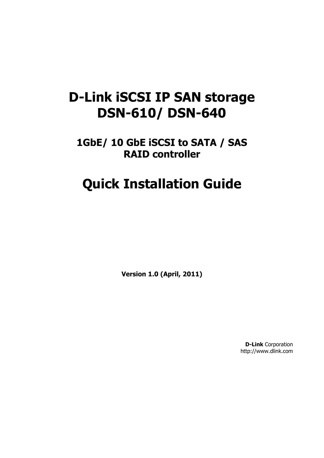# **D-Link iSCSI IP SAN storage DSN-610/ DSN-640**

**1GbE/ 10 GbE iSCSI to SATA / SAS RAID controller**

# **Quick Installation Guide**

**Version 1.0 (April, 2011)**

**D-Link** Corporation http://www.dlink.com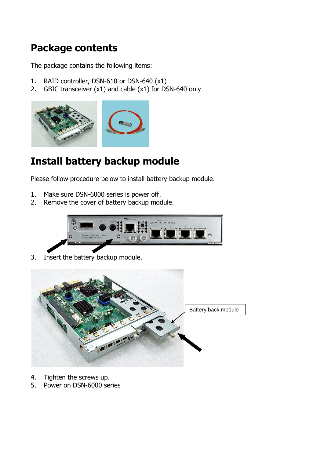### **Package contents**

The package contains the following items:

- 1. RAID controller, DSN-610 or DSN-640 (x1)
- 2. GBIC transceiver (x1) and cable (x1) for DSN-640 only



## **Install battery backup module**

Please follow procedure below to install battery backup module.

- 1. Make sure DSN-6000 series is power off.
- 2. Remove the cover of battery backup module.



3. Insert the battery backup module.



- 4. Tighten the screws up.
- 5. Power on DSN-6000 series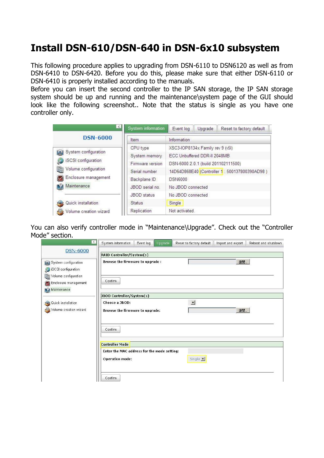### **Install DSN-610/DSN-640 in DSN-6x10 subsystem**

This following procedure applies to upgrading from DSN-6110 to DSN6120 as well as from DSN-6410 to DSN-6420. Before you do this, please make sure that either DSN-6110 or DSN-6410 is properly installed according to the manuals.

Before you can insert the second controller to the IP SAN storage, the IP SAN storage system should be up and running and the maintenance\system page of the GUI should look like the following screenshot.. Note that the status is single as you have one controller only.

| $\leq$                              | System information | Event log                                    | Upgrade | Reset to factory default |  |  |
|-------------------------------------|--------------------|----------------------------------------------|---------|--------------------------|--|--|
| <b>DSN-6000</b>                     | Item               | Information                                  |         |                          |  |  |
|                                     | CPU type           | XSC3-IOP8134x Family rev 9 (v5I)             |         |                          |  |  |
| System configuration<br>$E^{\odot}$ | System memory      | ECC Unbuffered DDR-II 2048MB                 |         |                          |  |  |
| iSCSI configuration                 | Firmware version   | DSN-6000 2.0.1 (build 201102111500)          |         |                          |  |  |
| Volume configuration                | Serial number      | 14D64D868E40 (Controller 1: 500137800390AD98 |         |                          |  |  |
| Enclosure management                | Backplane ID       | <b>DSN6000</b>                               |         |                          |  |  |
| Maintenance                         | JBOD serial no.    | No JBOD connected                            |         |                          |  |  |
|                                     | <b>JBOD</b> status | No JBOD connected                            |         |                          |  |  |
| Quick installation                  | <b>Status</b>      | Single                                       |         |                          |  |  |
| Volume creation wizard              | Replication        | Not activated.                               |         |                          |  |  |

You can also verify controller mode in "Maintenance\Upgrade". Check out the "Controller Mode" section.

| $\leq$                                                                    | System information                                                    | Event log | Upgrade | Reset to factory default | Import and export | Reboot and shutdown |  |
|---------------------------------------------------------------------------|-----------------------------------------------------------------------|-----------|---------|--------------------------|-------------------|---------------------|--|
| <b>DSN-6000</b>                                                           | RAID Controller/System(s)                                             |           |         |                          |                   |                     |  |
| System configuration<br>SCSI configuration                                | <b>Browse the firmware to upgrade:</b>                                |           |         |                          | 瀏覽                |                     |  |
| Volume configuration<br>Ø<br><b>M</b> Enclosure management<br>Maintenance | Confirm                                                               |           |         |                          |                   |                     |  |
|                                                                           | JBOD Controller/System(s)                                             |           |         |                          |                   |                     |  |
| Quick installation<br><b>Call</b>                                         | Choose a JBOD:                                                        |           |         | $\blacktriangledown$     |                   |                     |  |
| Volume creation wizard                                                    | Browse the firmware to upgrade:                                       |           |         |                          | 瀏覽                |                     |  |
|                                                                           | Confirm                                                               |           |         |                          |                   |                     |  |
|                                                                           | <b>Controller Mode</b>                                                |           |         |                          |                   |                     |  |
|                                                                           | Enter the MAC address for the mode setting:<br><b>Operation mode:</b> |           |         | Single -                 |                   |                     |  |
|                                                                           | Confirm                                                               |           |         |                          |                   |                     |  |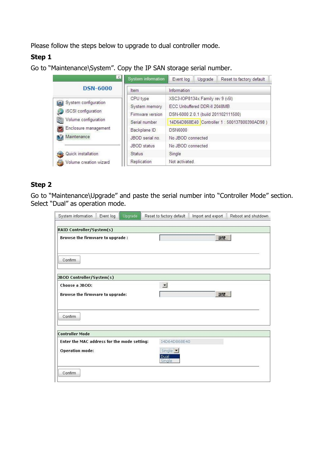Please follow the steps below to upgrade to dual controller mode.

#### **Step 1**

Go to "Maintenance\System". Copy the IP SAN storage serial number.

| $\left\langle \cdot \right\rangle$ | System information | Event log                                   | Upgrade | Reset to factory default |  |
|------------------------------------|--------------------|---------------------------------------------|---------|--------------------------|--|
| <b>DSN-6000</b>                    | Item               | Information                                 |         |                          |  |
|                                    | CPU type           | XSC3-IOP8134x Family rev 9 (v5I)            |         |                          |  |
| [9] System configuration           | System memory      | ECC Unbuffered DDR-II 2048MB                |         |                          |  |
| iSCSI configuration                | Firmware version   | DSN-6000 2.0.1 (build 201102111500)         |         |                          |  |
| Volume configuration               | Serial number      | 14D64D868E40 Controller 1: 500137800390AD98 |         |                          |  |
| Enclosure management               | Backplane ID       | <b>DSN6000</b>                              |         |                          |  |
| Maintenance                        | JBOD serial no.    | No JBOD connected                           |         |                          |  |
|                                    | JBOD status        | No JBOD connected                           |         |                          |  |
| Quick installation                 | <b>Status</b>      | Single                                      |         |                          |  |
| Volume creation wizard             | Replication        | Not activated.                              |         |                          |  |

#### **Step 2**

Go to "Maintenance\Upgrade" and paste the serial number into "Controller Mode" section. Select "Dual" as operation mode.

| System information                          | Event log | Upgrade | Reset to factory default   | Import and export | Reboot and shutdown |
|---------------------------------------------|-----------|---------|----------------------------|-------------------|---------------------|
| RAID Controller/System(s)                   |           |         |                            |                   |                     |
| <b>Browse the firmware to upgrade:</b>      |           |         |                            | 瀏覽                |                     |
| Confirm                                     |           |         |                            |                   |                     |
| JBOD Controller/System(s)                   |           |         |                            |                   |                     |
| Choose a JBOD:                              |           |         | $\mathbf{r}$               |                   |                     |
| Browse the firmware to upgrade:             |           |         |                            | 瀏覽                |                     |
| Confirm                                     |           |         |                            |                   |                     |
| <b>Controller Mode</b>                      |           |         |                            |                   |                     |
| Enter the MAC address for the mode setting: |           |         | 14D64D868E40               |                   |                     |
| <b>Operation mode:</b>                      |           |         | Single v<br>Dual<br>Single |                   |                     |
| Confirm                                     |           |         |                            |                   |                     |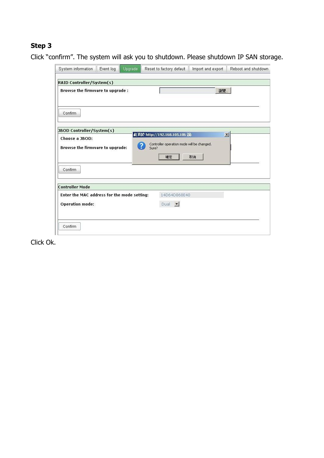#### **Step 3**

Click "confirm". The system will ask you to shutdown. Please shutdown IP SAN storage.



Click Ok.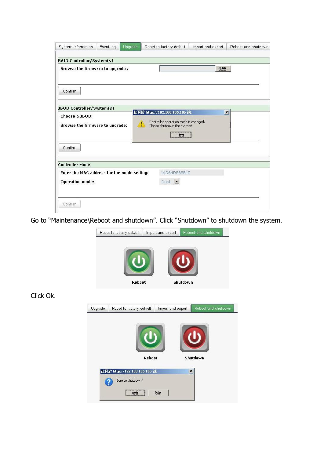| System information                          | Event log | Upgrade                   | Reset to factory default              | Import and export | Reboot and shutdown |
|---------------------------------------------|-----------|---------------------------|---------------------------------------|-------------------|---------------------|
| RAID Controller/System(s)                   |           |                           |                                       |                   |                     |
| <b>Browse the firmware to upgrade:</b>      |           |                           |                                       | 瀏覽.               |                     |
|                                             |           |                           |                                       |                   |                     |
| Confirm                                     |           |                           |                                       |                   |                     |
| JBOD Controller/System(s)                   |           |                           | 此頁於 http://192.168.105.106 說:         |                   | $\vert x \vert$     |
| Choose a JBOD:                              |           |                           | Controller operation mode is changed. |                   |                     |
| Browse the firmware to upgrade:             |           |                           | Please shutdown the system!           |                   |                     |
|                                             |           |                           | 確定                                    |                   |                     |
| Confirm                                     |           |                           |                                       |                   |                     |
| <b>Controller Mode</b>                      |           |                           |                                       |                   |                     |
| Enter the MAC address for the mode setting: |           |                           | 14D64D868E40                          |                   |                     |
| <b>Operation mode:</b>                      |           | Dual $\blacktriangledown$ |                                       |                   |                     |
|                                             |           |                           |                                       |                   |                     |
| Confirm                                     |           |                           |                                       |                   |                     |

Go to "Maintenance\Reboot and shutdown". Click "Shutdown" to shutdown the system.



Click Ok.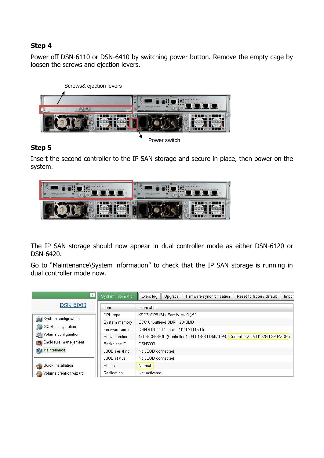#### **Step 4**

Power off DSN-6110 or DSN-6410 by switching power button. Remove the empty cage by loosen the screws and ejection levers.



#### **Step 5**

Insert the second controller to the IP SAN storage and secure in place, then power on the system.



The IP SAN storage should now appear in dual controller mode as either DSN-6120 or DSN-6420.

Go to "Maintenance\System information" to check that the IP SAN storage is running in dual controller mode now.

| $\leq$                          | System information | Firmware synchronization<br>Reset to factory default<br>Event log<br>Upgrade<br>Impor |  |  |  |  |  |
|---------------------------------|--------------------|---------------------------------------------------------------------------------------|--|--|--|--|--|
| <b>DSN-6000</b>                 | Item               | Information                                                                           |  |  |  |  |  |
|                                 | CPU type           | XSC3-IOP8134x Family rev 9 (v5I)                                                      |  |  |  |  |  |
| <b>[6]</b> System configuration | System memory      | ECC Unbuffered DDR-II 2048MB                                                          |  |  |  |  |  |
| SCSI configuration              | Firmware version   | DSN-6000 2.0.1 (build 201102111500)                                                   |  |  |  |  |  |
| Volume configuration            | Serial number      | 14D64D868E40 (Controller 1 : 500137800390AD98 , Controller 2 : 500137800390A5D8)      |  |  |  |  |  |
| <b>Ky</b> Enclosure management  | Backplane ID       | <b>DSN6000</b>                                                                        |  |  |  |  |  |
| Maintenance                     | JBOD serial no.    | No JBOD connected                                                                     |  |  |  |  |  |
|                                 | JBOD status        | No JBOD connected                                                                     |  |  |  |  |  |
| Quick installation              | <b>Status</b>      | Normal                                                                                |  |  |  |  |  |
| Volume creation wizard<br>5     | Replication        | Not activated.                                                                        |  |  |  |  |  |